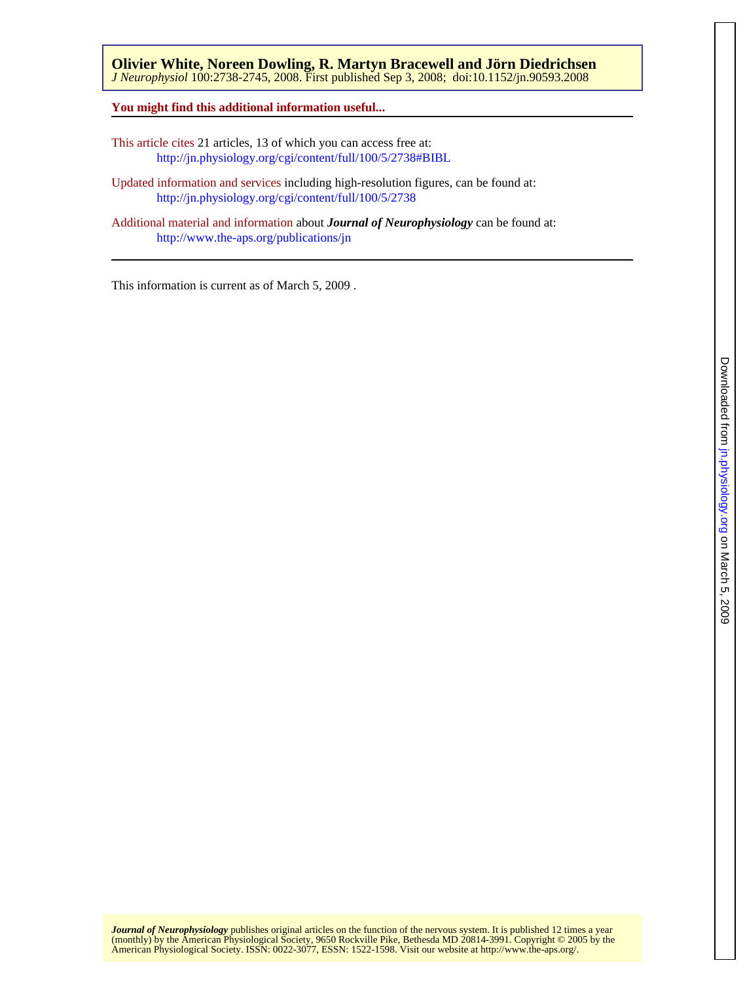**You might find this additional information useful...**

This article cites 21 articles, 13 of which you can access free at: <http://jn.physiology.org/cgi/content/full/100/5/2738#BIBL>

Updated information and services including high-resolution figures, can be found at: <http://jn.physiology.org/cgi/content/full/100/5/2738>

Additional material and information about *Journal of Neurophysiology* can be found at: <http://www.the-aps.org/publications/jn>

This information is current as of March 5, 2009 .

American Physiological Society. ISSN: 0022-3077, ESSN: 1522-1598. Visit our website at [http://www.the-aps.org/.](http://www.the-aps.org/) (monthly) by the American Physiological Society, 9650 Rockville Pike, Bethesda MD 20814-3991. Copyright © 2005 by the *Journal of Neurophysiology* publishes original articles on the function of the nervous system. It is published 12 times a year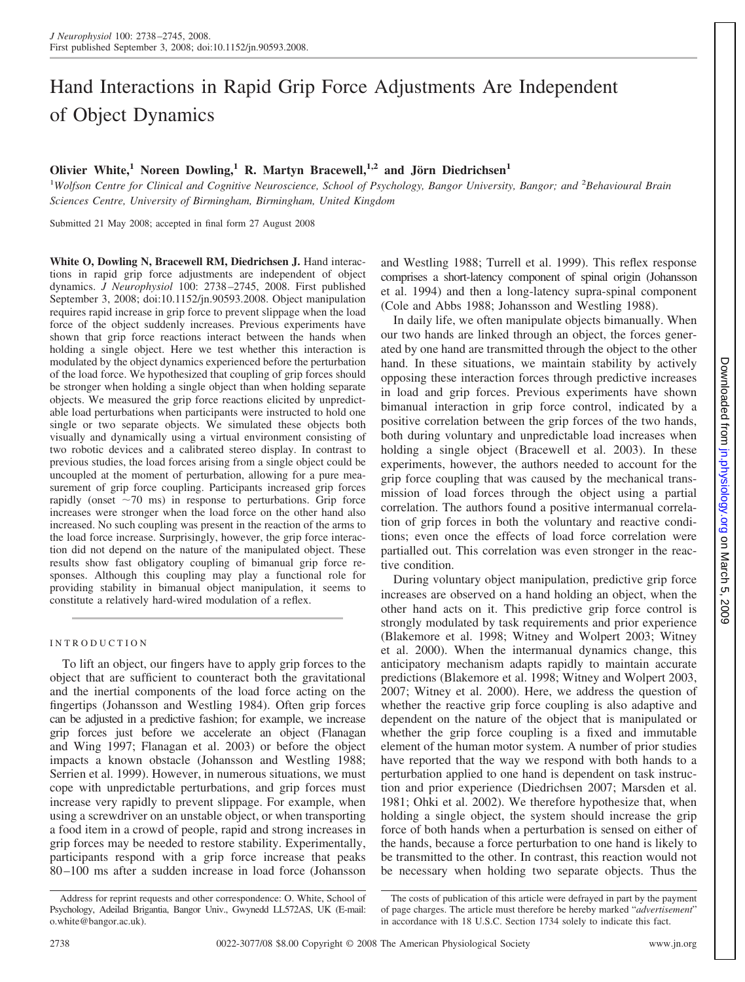# Hand Interactions in Rapid Grip Force Adjustments Are Independent of Object Dynamics

## **Olivier White,<sup>1</sup> Noreen Dowling,<sup>1</sup> R. Martyn Bracewell,<sup>1,2</sup> and Jörn Diedrichsen<sup>1</sup>**

<sup>1</sup>Wolfson Centre for Clinical and Cognitive Neuroscience, School of Psychology, Bangor University, Bangor; and <sup>2</sup>Behavioural Brain *Sciences Centre, University of Birmingham, Birmingham, United Kingdom*

Submitted 21 May 2008; accepted in final form 27 August 2008

**White O, Dowling N, Bracewell RM, Diedrichsen J.** Hand interactions in rapid grip force adjustments are independent of object dynamics. *J Neurophysiol* 100: 2738 –2745, 2008. First published September 3, 2008; doi:10.1152/jn.90593.2008. Object manipulation requires rapid increase in grip force to prevent slippage when the load force of the object suddenly increases. Previous experiments have shown that grip force reactions interact between the hands when holding a single object. Here we test whether this interaction is modulated by the object dynamics experienced before the perturbation of the load force. We hypothesized that coupling of grip forces should be stronger when holding a single object than when holding separate objects. We measured the grip force reactions elicited by unpredictable load perturbations when participants were instructed to hold one single or two separate objects. We simulated these objects both visually and dynamically using a virtual environment consisting of two robotic devices and a calibrated stereo display. In contrast to previous studies, the load forces arising from a single object could be uncoupled at the moment of perturbation, allowing for a pure measurement of grip force coupling. Participants increased grip forces rapidly (onset  $\sim$ 70 ms) in response to perturbations. Grip force increases were stronger when the load force on the other hand also increased. No such coupling was present in the reaction of the arms to the load force increase. Surprisingly, however, the grip force interaction did not depend on the nature of the manipulated object. These results show fast obligatory coupling of bimanual grip force responses. Although this coupling may play a functional role for providing stability in bimanual object manipulation, it seems to constitute a relatively hard-wired modulation of a reflex.

## INTRODUCTION

To lift an object, our fingers have to apply grip forces to the object that are sufficient to counteract both the gravitational and the inertial components of the load force acting on the fingertips (Johansson and Westling 1984). Often grip forces can be adjusted in a predictive fashion; for example, we increase grip forces just before we accelerate an object (Flanagan and Wing 1997; Flanagan et al. 2003) or before the object impacts a known obstacle (Johansson and Westling 1988; Serrien et al. 1999). However, in numerous situations, we must cope with unpredictable perturbations, and grip forces must increase very rapidly to prevent slippage. For example, when using a screwdriver on an unstable object, or when transporting a food item in a crowd of people, rapid and strong increases in grip forces may be needed to restore stability. Experimentally, participants respond with a grip force increase that peaks 80 –100 ms after a sudden increase in load force (Johansson

and Westling 1988; Turrell et al. 1999). This reflex response comprises a short-latency component of spinal origin (Johansson et al. 1994) and then a long-latency supra-spinal component (Cole and Abbs 1988; Johansson and Westling 1988).

In daily life, we often manipulate objects bimanually. When our two hands are linked through an object, the forces generated by one hand are transmitted through the object to the other hand. In these situations, we maintain stability by actively opposing these interaction forces through predictive increases in load and grip forces. Previous experiments have shown bimanual interaction in grip force control, indicated by a positive correlation between the grip forces of the two hands, both during voluntary and unpredictable load increases when holding a single object (Bracewell et al. 2003). In these experiments, however, the authors needed to account for the grip force coupling that was caused by the mechanical transmission of load forces through the object using a partial correlation. The authors found a positive intermanual correlation of grip forces in both the voluntary and reactive conditions; even once the effects of load force correlation were partialled out. This correlation was even stronger in the reactive condition.

During voluntary object manipulation, predictive grip force increases are observed on a hand holding an object, when the other hand acts on it. This predictive grip force control is strongly modulated by task requirements and prior experience (Blakemore et al. 1998; Witney and Wolpert 2003; Witney et al. 2000). When the intermanual dynamics change, this anticipatory mechanism adapts rapidly to maintain accurate predictions (Blakemore et al. 1998; Witney and Wolpert 2003, 2007; Witney et al. 2000). Here, we address the question of whether the reactive grip force coupling is also adaptive and dependent on the nature of the object that is manipulated or whether the grip force coupling is a fixed and immutable element of the human motor system. A number of prior studies have reported that the way we respond with both hands to a perturbation applied to one hand is dependent on task instruction and prior experience (Diedrichsen 2007; Marsden et al. 1981; Ohki et al. 2002). We therefore hypothesize that, when holding a single object, the system should increase the grip force of both hands when a perturbation is sensed on either of the hands, because a force perturbation to one hand is likely to be transmitted to the other. In contrast, this reaction would not be necessary when holding two separate objects. Thus the

Address for reprint requests and other correspondence: O. White, School of Psychology, Adeilad Brigantia, Bangor Univ., Gwynedd LL572AS, UK (E-mail: o.white@bangor.ac.uk).

Downloaded from jn.physiology.org on March 5, Downloadedfrom [jn.physiology.org](http://jn.physiology.org) on March 5, 2009 5002

The costs of publication of this article were defrayed in part by the payment of page charges. The article must therefore be hereby marked "*advertisement*" in accordance with 18 U.S.C. Section 1734 solely to indicate this fact.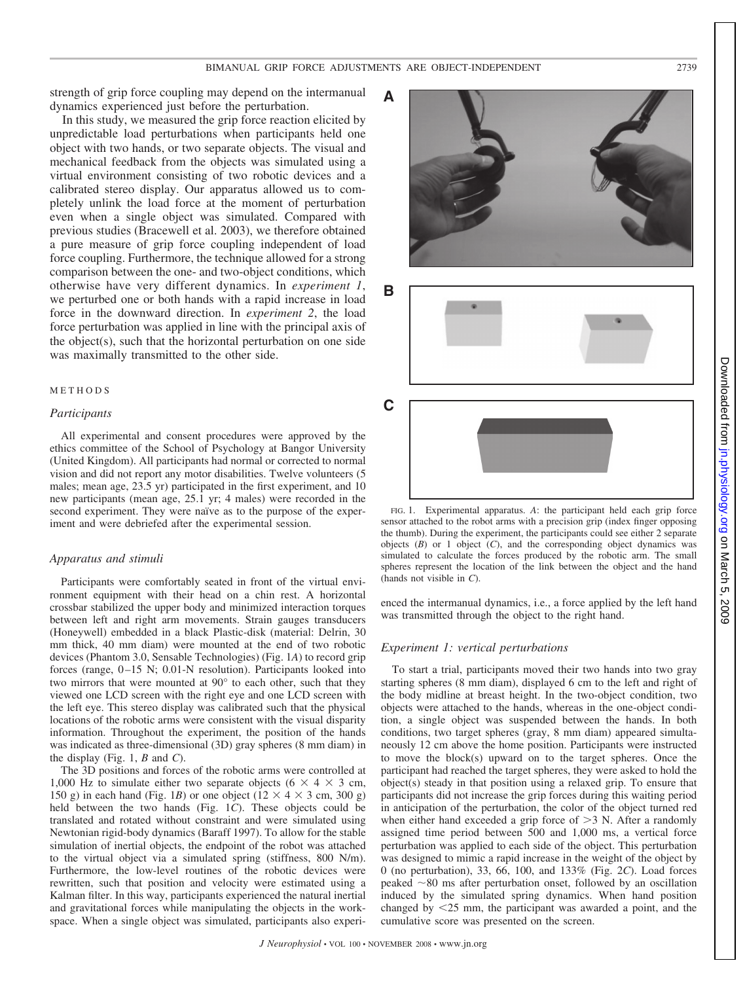strength of grip force coupling may depend on the intermanual dynamics experienced just before the perturbation.

In this study, we measured the grip force reaction elicited by unpredictable load perturbations when participants held one object with two hands, or two separate objects. The visual and mechanical feedback from the objects was simulated using a virtual environment consisting of two robotic devices and a calibrated stereo display. Our apparatus allowed us to completely unlink the load force at the moment of perturbation even when a single object was simulated. Compared with previous studies (Bracewell et al. 2003), we therefore obtained a pure measure of grip force coupling independent of load force coupling. Furthermore, the technique allowed for a strong comparison between the one- and two-object conditions, which otherwise have very different dynamics. In *experiment 1*, we perturbed one or both hands with a rapid increase in load force in the downward direction. In *experiment 2*, the load force perturbation was applied in line with the principal axis of the object(s), such that the horizontal perturbation on one side was maximally transmitted to the other side.

## METHODS

## *Participants*

All experimental and consent procedures were approved by the ethics committee of the School of Psychology at Bangor University (United Kingdom). All participants had normal or corrected to normal vision and did not report any motor disabilities. Twelve volunteers (5 males; mean age, 23.5 yr) participated in the first experiment, and 10 new participants (mean age, 25.1 yr; 4 males) were recorded in the second experiment. They were naïve as to the purpose of the experiment and were debriefed after the experimental session.

#### *Apparatus and stimuli*

Participants were comfortably seated in front of the virtual environment equipment with their head on a chin rest. A horizontal crossbar stabilized the upper body and minimized interaction torques between left and right arm movements. Strain gauges transducers (Honeywell) embedded in a black Plastic-disk (material: Delrin, 30 mm thick, 40 mm diam) were mounted at the end of two robotic devices (Phantom 3.0, Sensable Technologies) (Fig. 1*A*) to record grip forces (range,  $0-15$  N;  $0.01-N$  resolution). Participants looked into two mirrors that were mounted at 90° to each other, such that they viewed one LCD screen with the right eye and one LCD screen with the left eye. This stereo display was calibrated such that the physical locations of the robotic arms were consistent with the visual disparity information. Throughout the experiment, the position of the hands was indicated as three-dimensional (3D) gray spheres (8 mm diam) in the display (Fig. 1, *B* and *C*).

The 3D positions and forces of the robotic arms were controlled at 1,000 Hz to simulate either two separate objects ( $6 \times 4 \times 3$  cm, 150 g) in each hand (Fig. 1*B*) or one object ( $12 \times 4 \times 3$  cm, 300 g) held between the two hands (Fig. 1*C*). These objects could be translated and rotated without constraint and were simulated using Newtonian rigid-body dynamics (Baraff 1997). To allow for the stable simulation of inertial objects, the endpoint of the robot was attached to the virtual object via a simulated spring (stiffness, 800 N/m). Furthermore, the low-level routines of the robotic devices were rewritten, such that position and velocity were estimated using a Kalman filter. In this way, participants experienced the natural inertial and gravitational forces while manipulating the objects in the workspace. When a single object was simulated, participants also experi-







FIG. 1. Experimental apparatus. *A*: the participant held each grip force sensor attached to the robot arms with a precision grip (index finger opposing the thumb). During the experiment, the participants could see either 2 separate objects (*B*) or 1 object (*C*), and the corresponding object dynamics was simulated to calculate the forces produced by the robotic arm. The small spheres represent the location of the link between the object and the hand (hands not visible in *C*).

enced the intermanual dynamics, i.e., a force applied by the left hand was transmitted through the object to the right hand.

## *Experiment 1: vertical perturbations*

To start a trial, participants moved their two hands into two gray starting spheres (8 mm diam), displayed 6 cm to the left and right of the body midline at breast height. In the two-object condition, two objects were attached to the hands, whereas in the one-object condition, a single object was suspended between the hands. In both conditions, two target spheres (gray, 8 mm diam) appeared simultaneously 12 cm above the home position. Participants were instructed to move the block(s) upward on to the target spheres. Once the participant had reached the target spheres, they were asked to hold the object(s) steady in that position using a relaxed grip. To ensure that participants did not increase the grip forces during this waiting period in anticipation of the perturbation, the color of the object turned red when either hand exceeded a grip force of  $>3$  N. After a randomly assigned time period between 500 and 1,000 ms, a vertical force perturbation was applied to each side of the object. This perturbation was designed to mimic a rapid increase in the weight of the object by 0 (no perturbation), 33, 66, 100, and 133% (Fig. 2*C*). Load forces peaked  $\sim$ 80 ms after perturbation onset, followed by an oscillation induced by the simulated spring dynamics. When hand position changed by 25 mm, the participant was awarded a point, and the cumulative score was presented on the screen.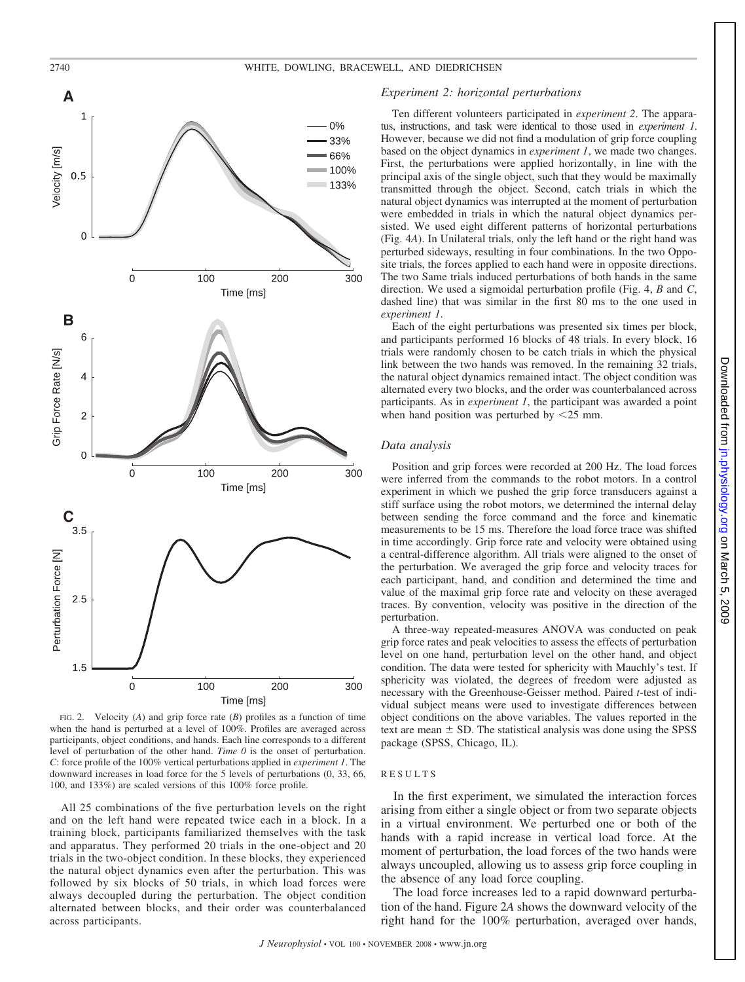

FIG. 2. Velocity (*A*) and grip force rate (*B*) profiles as a function of time when the hand is perturbed at a level of 100%. Profiles are averaged across participants, object conditions, and hands. Each line corresponds to a different level of perturbation of the other hand. *Time 0* is the onset of perturbation. *C*: force profile of the 100% vertical perturbations applied in *experiment 1*. The downward increases in load force for the 5 levels of perturbations (0, 33, 66, 100, and 133%) are scaled versions of this 100% force profile.

All 25 combinations of the five perturbation levels on the right and on the left hand were repeated twice each in a block. In a training block, participants familiarized themselves with the task and apparatus. They performed 20 trials in the one-object and 20 trials in the two-object condition. In these blocks, they experienced the natural object dynamics even after the perturbation. This was followed by six blocks of 50 trials, in which load forces were always decoupled during the perturbation. The object condition alternated between blocks, and their order was counterbalanced across participants.

## *Experiment 2: horizontal perturbations*

Ten different volunteers participated in *experiment 2*. The apparatus, instructions, and task were identical to those used in *experiment 1*. However, because we did not find a modulation of grip force coupling based on the object dynamics in *experiment 1*, we made two changes. First, the perturbations were applied horizontally, in line with the principal axis of the single object, such that they would be maximally transmitted through the object. Second, catch trials in which the natural object dynamics was interrupted at the moment of perturbation were embedded in trials in which the natural object dynamics persisted. We used eight different patterns of horizontal perturbations (Fig. 4*A*). In Unilateral trials, only the left hand or the right hand was perturbed sideways, resulting in four combinations. In the two Opposite trials, the forces applied to each hand were in opposite directions. The two Same trials induced perturbations of both hands in the same direction. We used a sigmoidal perturbation profile (Fig. 4, *B* and *C*, dashed line) that was similar in the first 80 ms to the one used in *experiment 1*.

Each of the eight perturbations was presented six times per block, and participants performed 16 blocks of 48 trials. In every block, 16 trials were randomly chosen to be catch trials in which the physical link between the two hands was removed. In the remaining 32 trials, the natural object dynamics remained intact. The object condition was alternated every two blocks, and the order was counterbalanced across participants. As in *experiment 1*, the participant was awarded a point when hand position was perturbed by  $\leq$ 25 mm.

#### *Data analysis*

Position and grip forces were recorded at 200 Hz. The load forces were inferred from the commands to the robot motors. In a control experiment in which we pushed the grip force transducers against a stiff surface using the robot motors, we determined the internal delay between sending the force command and the force and kinematic measurements to be 15 ms. Therefore the load force trace was shifted in time accordingly. Grip force rate and velocity were obtained using a central-difference algorithm. All trials were aligned to the onset of the perturbation. We averaged the grip force and velocity traces for each participant, hand, and condition and determined the time and value of the maximal grip force rate and velocity on these averaged traces. By convention, velocity was positive in the direction of the perturbation.

A three-way repeated-measures ANOVA was conducted on peak grip force rates and peak velocities to assess the effects of perturbation level on one hand, perturbation level on the other hand, and object condition. The data were tested for sphericity with Mauchly's test. If sphericity was violated, the degrees of freedom were adjusted as necessary with the Greenhouse-Geisser method. Paired *t*-test of individual subject means were used to investigate differences between object conditions on the above variables. The values reported in the text are mean  $\pm$  SD. The statistical analysis was done using the SPSS package (SPSS, Chicago, IL).

## RESULTS

In the first experiment, we simulated the interaction forces arising from either a single object or from two separate objects in a virtual environment. We perturbed one or both of the hands with a rapid increase in vertical load force. At the moment of perturbation, the load forces of the two hands were always uncoupled, allowing us to assess grip force coupling in the absence of any load force coupling.

The load force increases led to a rapid downward perturbation of the hand. Figure 2*A* shows the downward velocity of the right hand for the 100% perturbation, averaged over hands,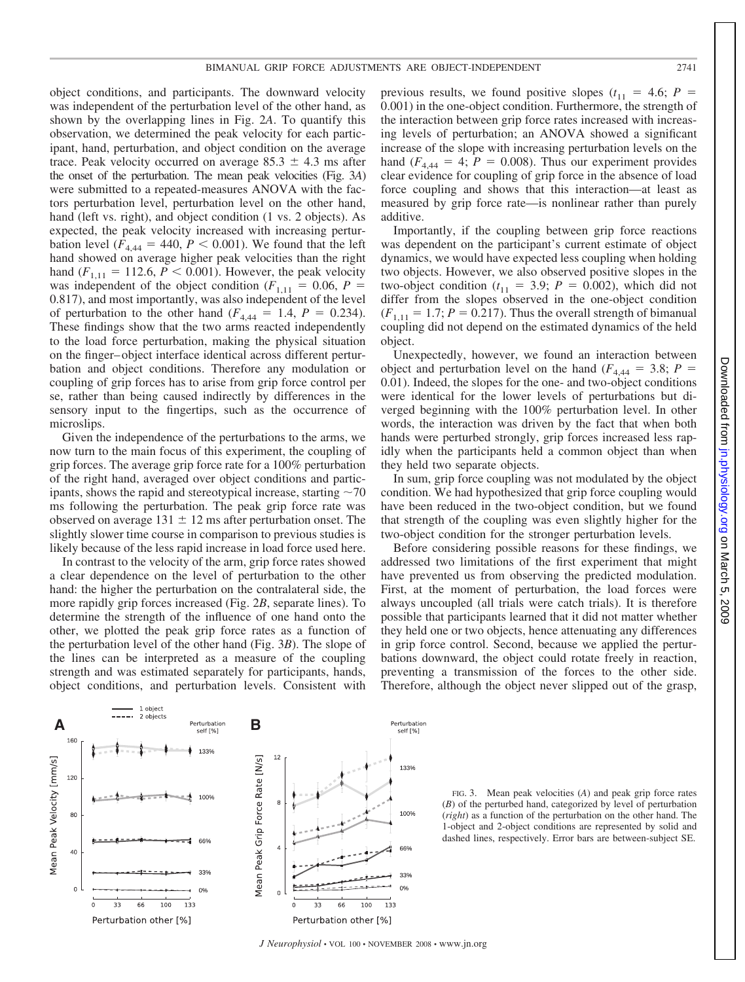object conditions, and participants. The downward velocity was independent of the perturbation level of the other hand, as shown by the overlapping lines in Fig. 2*A*. To quantify this observation, we determined the peak velocity for each participant, hand, perturbation, and object condition on the average trace. Peak velocity occurred on average  $85.3 \pm 4.3$  ms after the onset of the perturbation. The mean peak velocities (Fig. 3*A*) were submitted to a repeated-measures ANOVA with the factors perturbation level, perturbation level on the other hand, hand (left vs. right), and object condition (1 vs. 2 objects). As expected, the peak velocity increased with increasing perturbation level ( $F_{4,44} = 440, P < 0.001$ ). We found that the left hand showed on average higher peak velocities than the right hand  $(F_{1,11} = 112.6, P \le 0.001)$ . However, the peak velocity was independent of the object condition ( $F_{1,11} = 0.06$ ,  $P =$ 0.817), and most importantly, was also independent of the level of perturbation to the other hand  $(F_{4,44} = 1.4, P = 0.234)$ . These findings show that the two arms reacted independently to the load force perturbation, making the physical situation on the finger– object interface identical across different perturbation and object conditions. Therefore any modulation or coupling of grip forces has to arise from grip force control per se, rather than being caused indirectly by differences in the sensory input to the fingertips, such as the occurrence of microslips.

Given the independence of the perturbations to the arms, we now turn to the main focus of this experiment, the coupling of grip forces. The average grip force rate for a 100% perturbation of the right hand, averaged over object conditions and participants, shows the rapid and stereotypical increase, starting  $\sim$  70 ms following the perturbation. The peak grip force rate was observed on average  $131 \pm 12$  ms after perturbation onset. The slightly slower time course in comparison to previous studies is likely because of the less rapid increase in load force used here.

In contrast to the velocity of the arm, grip force rates showed a clear dependence on the level of perturbation to the other hand: the higher the perturbation on the contralateral side, the more rapidly grip forces increased (Fig. 2*B*, separate lines). To determine the strength of the influence of one hand onto the other, we plotted the peak grip force rates as a function of the perturbation level of the other hand (Fig. 3*B*). The slope of the lines can be interpreted as a measure of the coupling strength and was estimated separately for participants, hands, object conditions, and perturbation levels. Consistent with

133%

100%

Mean Peak Grip Force Rate [N/s]

 $\alpha$ 

33 66

 $\mathsf{A}$  **B** Perturbation **B** 

1 object

160

120

80

 $^{40}$ 

 $\mathsf{O}$ 

33 66 100 133

Perturbation other [%]

Mean Peak Velocity [mm/s]

previous results, we found positive slopes  $(t_{11} = 4.6; P =$ 0.001) in the one-object condition. Furthermore, the strength of the interaction between grip force rates increased with increasing levels of perturbation; an ANOVA showed a significant increase of the slope with increasing perturbation levels on the hand  $(F_{4,44} = 4; P = 0.008)$ . Thus our experiment provides clear evidence for coupling of grip force in the absence of load force coupling and shows that this interaction—at least as measured by grip force rate—is nonlinear rather than purely additive.

Importantly, if the coupling between grip force reactions was dependent on the participant's current estimate of object dynamics, we would have expected less coupling when holding two objects. However, we also observed positive slopes in the two-object condition  $(t_{11} = 3.9; P = 0.002)$ , which did not differ from the slopes observed in the one-object condition  $(F_{1,11} = 1.7; P = 0.217)$ . Thus the overall strength of bimanual coupling did not depend on the estimated dynamics of the held object.

Unexpectedly, however, we found an interaction between object and perturbation level on the hand ( $F_{4,44}$  = 3.8; *P* = 0.01). Indeed, the slopes for the one- and two-object conditions were identical for the lower levels of perturbations but diverged beginning with the 100% perturbation level. In other words, the interaction was driven by the fact that when both hands were perturbed strongly, grip forces increased less rapidly when the participants held a common object than when they held two separate objects.

In sum, grip force coupling was not modulated by the object condition. We had hypothesized that grip force coupling would have been reduced in the two-object condition, but we found that strength of the coupling was even slightly higher for the two-object condition for the stronger perturbation levels.

Before considering possible reasons for these findings, we addressed two limitations of the first experiment that might have prevented us from observing the predicted modulation. First, at the moment of perturbation, the load forces were always uncoupled (all trials were catch trials). It is therefore possible that participants learned that it did not matter whether they held one or two objects, hence attenuating any differences in grip force control. Second, because we applied the perturbations downward, the object could rotate freely in reaction, preventing a transmission of the forces to the other side. Therefore, although the object never slipped out of the grasp,



100 133

Perturbation<br>self [%]

133%

100%

33%

 $0%$ 

FIG. 3. Mean peak velocities (*A*) and peak grip force rates (*B*) of the perturbed hand, categorized by level of perturbation (*right*) as a function of the perturbation on the other hand. The 1-object and 2-object conditions are represented by solid and dashed lines, respectively. Error bars are between-subject SE.

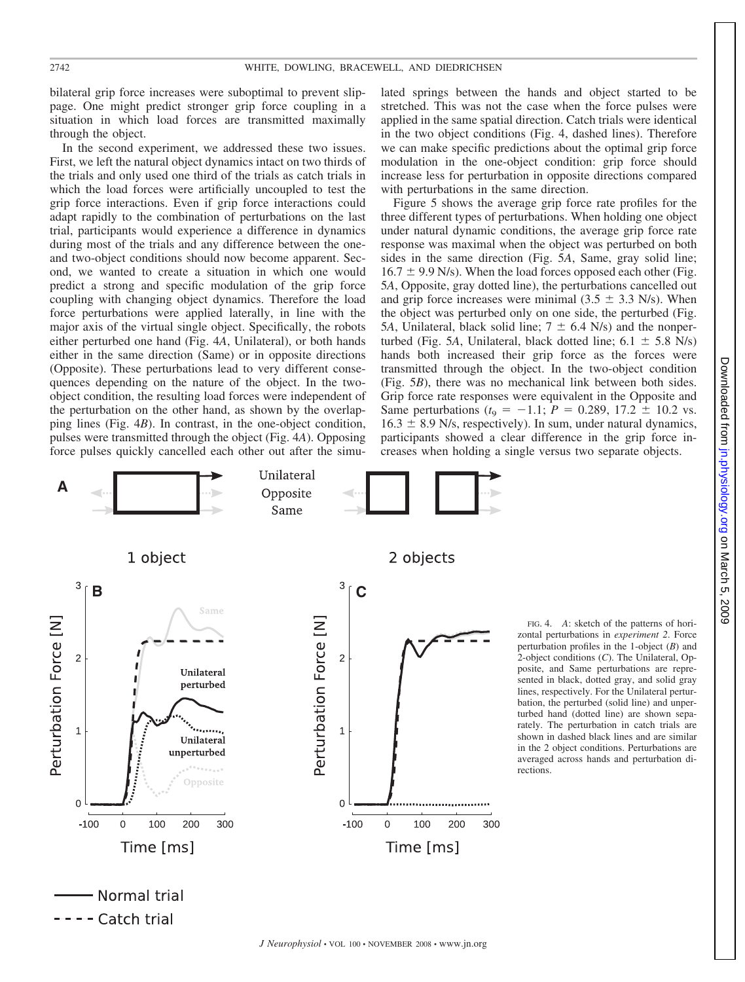bilateral grip force increases were suboptimal to prevent slippage. One might predict stronger grip force coupling in a situation in which load forces are transmitted maximally through the object.

In the second experiment, we addressed these two issues. First, we left the natural object dynamics intact on two thirds of the trials and only used one third of the trials as catch trials in which the load forces were artificially uncoupled to test the grip force interactions. Even if grip force interactions could adapt rapidly to the combination of perturbations on the last trial, participants would experience a difference in dynamics during most of the trials and any difference between the oneand two-object conditions should now become apparent. Second, we wanted to create a situation in which one would predict a strong and specific modulation of the grip force coupling with changing object dynamics. Therefore the load force perturbations were applied laterally, in line with the major axis of the virtual single object. Specifically, the robots either perturbed one hand (Fig. 4*A*, Unilateral), or both hands either in the same direction (Same) or in opposite directions (Opposite). These perturbations lead to very different consequences depending on the nature of the object. In the twoobject condition, the resulting load forces were independent of the perturbation on the other hand, as shown by the overlapping lines (Fig. 4*B*). In contrast, in the one-object condition, pulses were transmitted through the object (Fig. 4*A*). Opposing force pulses quickly cancelled each other out after the simulated springs between the hands and object started to be stretched. This was not the case when the force pulses were applied in the same spatial direction. Catch trials were identical in the two object conditions (Fig. 4, dashed lines). Therefore we can make specific predictions about the optimal grip force modulation in the one-object condition: grip force should increase less for perturbation in opposite directions compared with perturbations in the same direction.

Figure 5 shows the average grip force rate profiles for the three different types of perturbations. When holding one object under natural dynamic conditions, the average grip force rate response was maximal when the object was perturbed on both sides in the same direction (Fig. 5*A*, Same, gray solid line;  $16.7 \pm 9.9$  N/s). When the load forces opposed each other (Fig. 5*A*, Opposite, gray dotted line), the perturbations cancelled out and grip force increases were minimal  $(3.5 \pm 3.3 \text{ N/s})$ . When the object was perturbed only on one side, the perturbed (Fig. 5*A*, Unilateral, black solid line;  $7 \pm 6.4$  N/s) and the nonperturbed (Fig. 5*A*, Unilateral, black dotted line;  $6.1 \pm 5.8$  N/s) hands both increased their grip force as the forces were transmitted through the object. In the two-object condition (Fig. 5*B*), there was no mechanical link between both sides. Grip force rate responses were equivalent in the Opposite and Same perturbations  $(t_9 = -1.1; P = 0.289, 17.2 \pm 10.2 \text{ vs.})$  $16.3 \pm 8.9$  N/s, respectively). In sum, under natural dynamics, participants showed a clear difference in the grip force increases when holding a single versus two separate objects.



FIG. 4. *A*: sketch of the patterns of horizontal perturbations in *experiment 2*. Force perturbation profiles in the 1-object (*B*) and 2-object conditions (*C*). The Unilateral, Opposite, and Same perturbations are represented in black, dotted gray, and solid gray lines, respectively. For the Unilateral perturbation, the perturbed (solid line) and unperturbed hand (dotted line) are shown separately. The perturbation in catch trials are shown in dashed black lines and are similar in the 2 object conditions. Perturbations are averaged across hands and perturbation directions.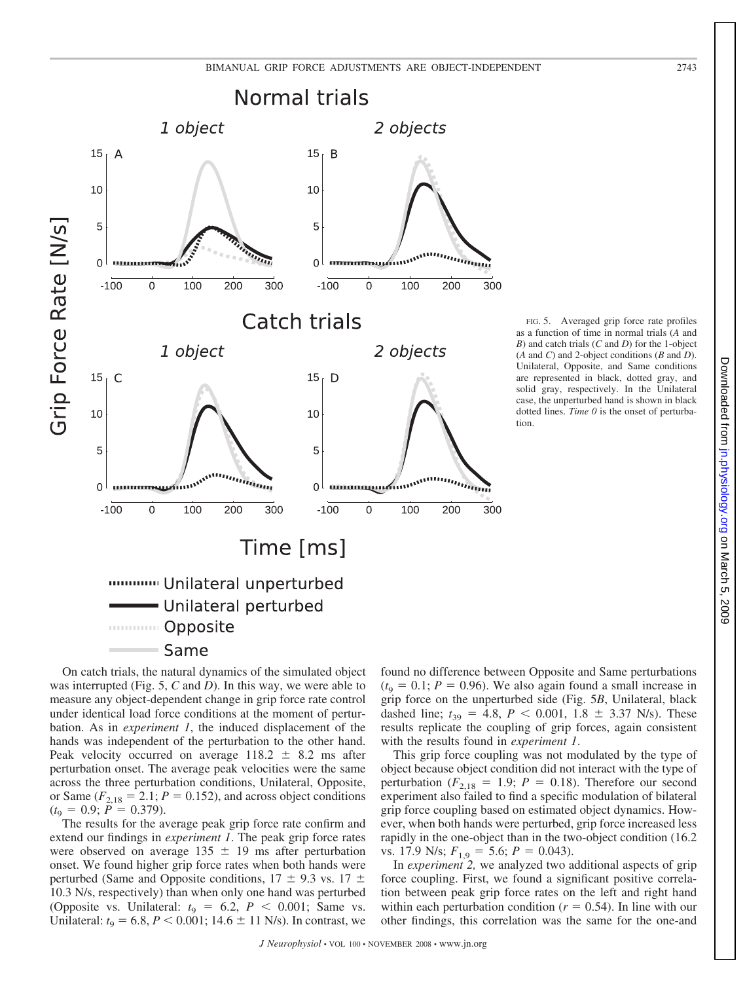

On catch trials, the natural dynamics of the simulated object was interrupted (Fig. 5, *C* and *D*). In this way, we were able to measure any object-dependent change in grip force rate control under identical load force conditions at the moment of perturbation. As in *experiment 1*, the induced displacement of the hands was independent of the perturbation to the other hand. Peak velocity occurred on average  $118.2 \pm 8.2$  ms after perturbation onset. The average peak velocities were the same across the three perturbation conditions, Unilateral, Opposite, or Same  $(F_{2,18} = 2.1; P = 0.152)$ , and across object conditions  $(t_9 = 0.9; P = 0.379).$ 

The results for the average peak grip force rate confirm and extend our findings in *experiment 1*. The peak grip force rates were observed on average  $135 \pm 19$  ms after perturbation onset. We found higher grip force rates when both hands were perturbed (Same and Opposite conditions,  $17 \pm 9.3$  vs.  $17 \pm$ 10.3 N/s, respectively) than when only one hand was perturbed (Opposite vs. Unilateral:  $t_9 = 6.2$ ,  $P < 0.001$ ; Same vs. Unilateral:  $t_9 = 6.8$ ,  $P < 0.001$ ; 14.6  $\pm$  11 N/s). In contrast, we found no difference between Opposite and Same perturbations  $(t_9 = 0.1; P = 0.96)$ . We also again found a small increase in grip force on the unperturbed side (Fig. 5*B*, Unilateral, black dashed line;  $t_{39} = 4.8$ ,  $P < 0.001$ ,  $1.8 \pm 3.37$  N/s). These results replicate the coupling of grip forces, again consistent with the results found in *experiment 1*.

This grip force coupling was not modulated by the type of object because object condition did not interact with the type of perturbation ( $F_{2,18} = 1.9$ ;  $P = 0.18$ ). Therefore our second experiment also failed to find a specific modulation of bilateral grip force coupling based on estimated object dynamics. However, when both hands were perturbed, grip force increased less rapidly in the one-object than in the two-object condition (16.2 vs. 17.9 N/s;  $F_{1,9} = 5.6$ ;  $P = 0.043$ ).

In *experiment 2,* we analyzed two additional aspects of grip force coupling. First, we found a significant positive correlation between peak grip force rates on the left and right hand within each perturbation condition  $(r = 0.54)$ . In line with our other findings, this correlation was the same for the one-and

FIG. 5. Averaged grip force rate profiles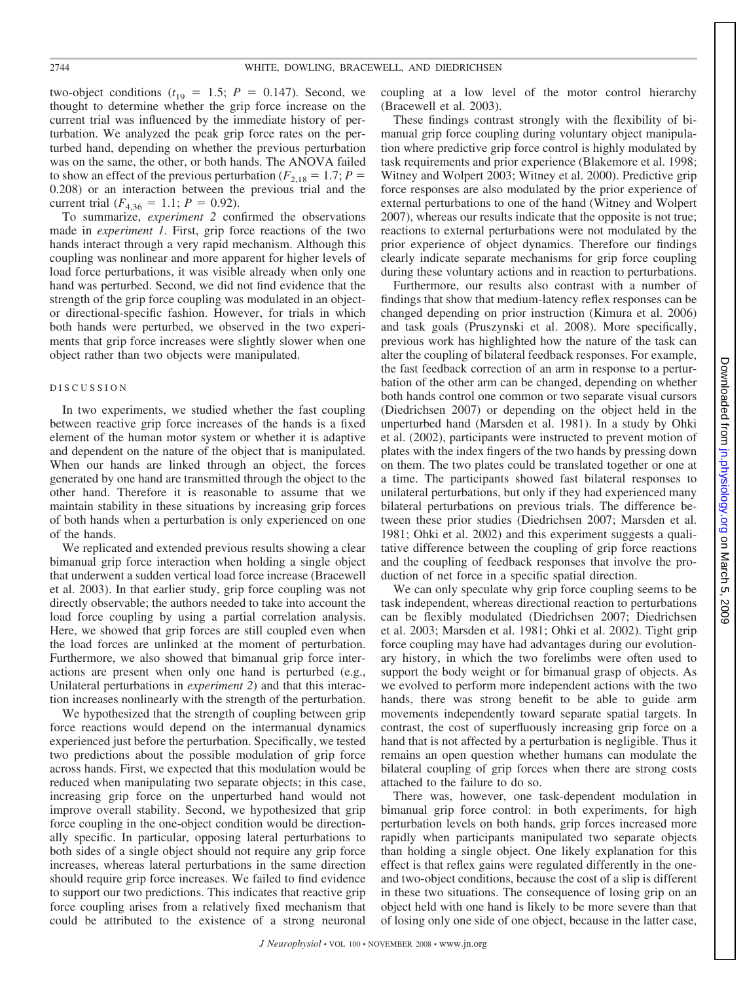two-object conditions  $(t_{19} = 1.5; P = 0.147)$ . Second, we thought to determine whether the grip force increase on the current trial was influenced by the immediate history of perturbation. We analyzed the peak grip force rates on the perturbed hand, depending on whether the previous perturbation was on the same, the other, or both hands. The ANOVA failed to show an effect of the previous perturbation ( $F_{2,18} = 1.7; P =$ 0.208) or an interaction between the previous trial and the current trial  $(F_{4,36} = 1.1; P = 0.92)$ .

To summarize, *experiment 2* confirmed the observations made in *experiment 1*. First, grip force reactions of the two hands interact through a very rapid mechanism. Although this coupling was nonlinear and more apparent for higher levels of load force perturbations, it was visible already when only one hand was perturbed. Second, we did not find evidence that the strength of the grip force coupling was modulated in an objector directional-specific fashion. However, for trials in which both hands were perturbed, we observed in the two experiments that grip force increases were slightly slower when one object rather than two objects were manipulated.

#### DISCUSSION

In two experiments, we studied whether the fast coupling between reactive grip force increases of the hands is a fixed element of the human motor system or whether it is adaptive and dependent on the nature of the object that is manipulated. When our hands are linked through an object, the forces generated by one hand are transmitted through the object to the other hand. Therefore it is reasonable to assume that we maintain stability in these situations by increasing grip forces of both hands when a perturbation is only experienced on one of the hands.

We replicated and extended previous results showing a clear bimanual grip force interaction when holding a single object that underwent a sudden vertical load force increase (Bracewell et al. 2003). In that earlier study, grip force coupling was not directly observable; the authors needed to take into account the load force coupling by using a partial correlation analysis. Here, we showed that grip forces are still coupled even when the load forces are unlinked at the moment of perturbation. Furthermore, we also showed that bimanual grip force interactions are present when only one hand is perturbed (e.g., Unilateral perturbations in *experiment 2*) and that this interaction increases nonlinearly with the strength of the perturbation.

We hypothesized that the strength of coupling between grip force reactions would depend on the intermanual dynamics experienced just before the perturbation. Specifically, we tested two predictions about the possible modulation of grip force across hands. First, we expected that this modulation would be reduced when manipulating two separate objects; in this case, increasing grip force on the unperturbed hand would not improve overall stability. Second, we hypothesized that grip force coupling in the one-object condition would be directionally specific. In particular, opposing lateral perturbations to both sides of a single object should not require any grip force increases, whereas lateral perturbations in the same direction should require grip force increases. We failed to find evidence to support our two predictions. This indicates that reactive grip force coupling arises from a relatively fixed mechanism that could be attributed to the existence of a strong neuronal

coupling at a low level of the motor control hierarchy (Bracewell et al. 2003).

These findings contrast strongly with the flexibility of bimanual grip force coupling during voluntary object manipulation where predictive grip force control is highly modulated by task requirements and prior experience (Blakemore et al. 1998; Witney and Wolpert 2003; Witney et al. 2000). Predictive grip force responses are also modulated by the prior experience of external perturbations to one of the hand (Witney and Wolpert 2007), whereas our results indicate that the opposite is not true; reactions to external perturbations were not modulated by the prior experience of object dynamics. Therefore our findings clearly indicate separate mechanisms for grip force coupling during these voluntary actions and in reaction to perturbations.

Furthermore, our results also contrast with a number of findings that show that medium-latency reflex responses can be changed depending on prior instruction (Kimura et al. 2006) and task goals (Pruszynski et al. 2008). More specifically, previous work has highlighted how the nature of the task can alter the coupling of bilateral feedback responses. For example, the fast feedback correction of an arm in response to a perturbation of the other arm can be changed, depending on whether both hands control one common or two separate visual cursors (Diedrichsen 2007) or depending on the object held in the unperturbed hand (Marsden et al. 1981). In a study by Ohki et al. (2002), participants were instructed to prevent motion of plates with the index fingers of the two hands by pressing down on them. The two plates could be translated together or one at a time. The participants showed fast bilateral responses to unilateral perturbations, but only if they had experienced many bilateral perturbations on previous trials. The difference between these prior studies (Diedrichsen 2007; Marsden et al. 1981; Ohki et al. 2002) and this experiment suggests a qualitative difference between the coupling of grip force reactions and the coupling of feedback responses that involve the production of net force in a specific spatial direction.

We can only speculate why grip force coupling seems to be task independent, whereas directional reaction to perturbations can be flexibly modulated (Diedrichsen 2007; Diedrichsen et al. 2003; Marsden et al. 1981; Ohki et al. 2002). Tight grip force coupling may have had advantages during our evolutionary history, in which the two forelimbs were often used to support the body weight or for bimanual grasp of objects. As we evolved to perform more independent actions with the two hands, there was strong benefit to be able to guide arm movements independently toward separate spatial targets. In contrast, the cost of superfluously increasing grip force on a hand that is not affected by a perturbation is negligible. Thus it remains an open question whether humans can modulate the bilateral coupling of grip forces when there are strong costs attached to the failure to do so.

There was, however, one task-dependent modulation in bimanual grip force control: in both experiments, for high perturbation levels on both hands, grip forces increased more rapidly when participants manipulated two separate objects than holding a single object. One likely explanation for this effect is that reflex gains were regulated differently in the oneand two-object conditions, because the cost of a slip is different in these two situations. The consequence of losing grip on an object held with one hand is likely to be more severe than that of losing only one side of one object, because in the latter case,